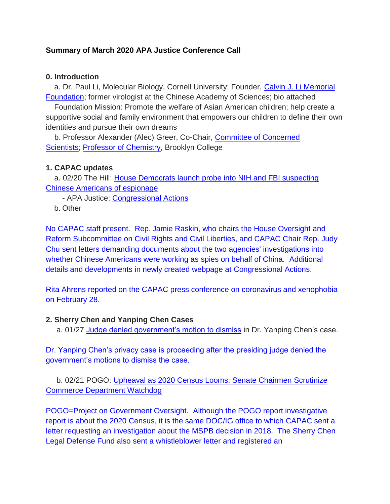### **Summary of March 2020 APA Justice Conference Call**

#### **0. Introduction**

a. Dr. Paul Li, Molecular Biology, Cornell University; Founder, [Calvin J. Li Memorial](http://bit.ly/38CUo6O)  [Foundation;](http://bit.ly/38CUo6O) former virologist at the Chinese Academy of Sciences; bio attached

Foundation Mission: Promote the welfare of Asian American children; help create a supportive social and family environment that empowers our children to define their own identities and pursue their own dreams

b. Professor Alexander (Alec) Greer, Co-Chair, [Committee of Concerned](http://bit.ly/2T8sdpQ)  [Scientists;](http://bit.ly/2T8sdpQ) [Professor of Chemistry,](http://bit.ly/39R4wt0) Brooklyn College

#### **1. CAPAC updates**

a. 02/20 The Hill: [House Democrats launch probe into NIH and FBI suspecting](http://bit.ly/38LhEQr)  [Chinese Americans of espionage](http://bit.ly/38LhEQr)

- APA Justice: [Congressional Actions](https://www.apajustice.org/congressional-actions.html)

b. Other

No CAPAC staff present. Rep. Jamie Raskin, who chairs the House Oversight and Reform Subcommittee on Civil Rights and Civil Liberties, and CAPAC Chair Rep. Judy Chu sent letters demanding documents about the two agencies' investigations into whether Chinese Americans were working as spies on behalf of China. Additional details and developments in newly created webpage at [Congressional Actions.](https://www.apajustice.org/congressional-actions.html)

Rita Ahrens reported on the CAPAC press conference on coronavirus and xenophobia on February 28.

#### **2. Sherry Chen and Yanping Chen Cases**

a. 01/27 [Judge denied government's motion to dismiss](https://www.apajustice.org/yanping-chen.html) in Dr. Yanping Chen's case.

Dr. Yanping Chen's privacy case is proceeding after the presiding judge denied the government's motions to dismiss the case.

b. 02/21 POGO: [Upheaval as 2020 Census Looms: Senate Chairmen](http://bit.ly/2HJcBnF) Scrutinize [Commerce Department Watchdog](http://bit.ly/2HJcBnF)

POGO=Project on Government Oversight. Although the POGO report investigative report is about the 2020 Census, it is the same DOC/IG office to which CAPAC sent a letter requesting an investigation about the MSPB decision in 2018. The Sherry Chen Legal Defense Fund also sent a whistleblower letter and registered an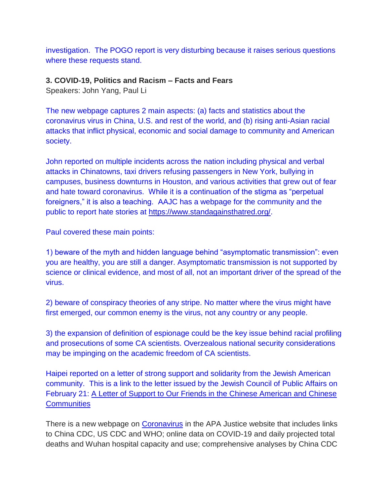investigation. The POGO report is very disturbing because it raises serious questions where these requests stand.

### **3. COVID-19, Politics and Racism – Facts and Fears**

Speakers: John Yang, Paul Li

The new webpage captures 2 main aspects: (a) facts and statistics about the coronavirus virus in China, U.S. and rest of the world, and (b) rising anti-Asian racial attacks that inflict physical, economic and social damage to community and American society.

John reported on multiple incidents across the nation including physical and verbal attacks in Chinatowns, taxi drivers refusing passengers in New York, bullying in campuses, business downturns in Houston, and various activities that grew out of fear and hate toward coronavirus. While it is a continuation of the stigma as "perpetual foreigners," it is also a teaching. AAJC has a webpage for the community and the public to report hate stories at [https://www.standagainsthatred.org/.](https://www.standagainsthatred.org/)

Paul covered these main points:

1) beware of the myth and hidden language behind "asymptomatic transmission": even you are healthy, you are still a danger. Asymptomatic transmission is not supported by science or clinical evidence, and most of all, not an important driver of the spread of the virus.

2) beware of conspiracy theories of any stripe. No matter where the virus might have first emerged, our common enemy is the virus, not any country or any people.

3) the expansion of definition of espionage could be the key issue behind racial profiling and prosecutions of some CA scientists. Overzealous national security considerations may be impinging on the academic freedom of CA scientists.

Haipei reported on a letter of strong support and solidarity from the Jewish American community. This is a link to the letter issued by the Jewish Council of Public Affairs on February 21: [A Letter of Support to Our Friends in the Chinese American and Chinese](http://bit.ly/2vXwFjA)  **[Communities](http://bit.ly/2vXwFjA)** 

There is a new webpage on [Coronavirus](https://www.apajustice.org/coronavirus.html) in the APA Justice website that includes links to China CDC, US CDC and WHO; online data on COVID-19 and daily projected total deaths and Wuhan hospital capacity and use; comprehensive analyses by China CDC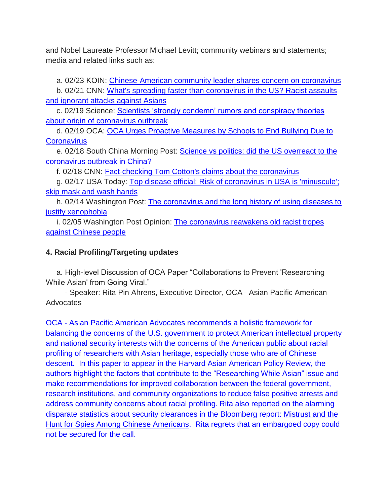and Nobel Laureate Professor Michael Levitt; community webinars and statements; media and related links such as:

a. 02/23 KOIN: [Chinese-American community leader shares concern on coronavirus](http://bit.ly/32CesV3)

b. 02/21 CNN: [What's spreading faster than coronavirus in the US? Racist assaults](https://cnn.it/2V8Kc2c)  [and ignorant attacks against Asians](https://cnn.it/2V8Kc2c)

c. 02/19 Science: [Scientists 'strongly condemn' rumors and conspiracy theories](http://bit.ly/2T0zecn)  [about origin of coronavirus outbreak](http://bit.ly/2T0zecn)

d. 02/19 OCA: [OCA Urges Proactive Measures by Schools to End Bullying Due to](http://bit.ly/2uS8gMb)  **[Coronavirus](http://bit.ly/2uS8gMb)** 

e. 02/18 South China Morning Post: [Science vs politics: did the US overreact to the](http://bit.ly/3246aox)  [coronavirus outbreak in China?](http://bit.ly/3246aox)

f. 02/18 CNN: [Fact-checking Tom Cotton's claims about the coronavirus](https://cnn.it/37KXJQ6)

g. 02/17 USA Today: [Top disease official: Risk of coronavirus in USA is 'minuscule';](http://bit.ly/2SZXQBU)  [skip mask and wash hands](http://bit.ly/2SZXQBU)

h. 02/14 Washington Post: [The coronavirus and the long history of using diseases to](https://wapo.st/39NHFyu)  [justify xenophobia](https://wapo.st/39NHFyu)

i. 02/05 Washington Post Opinion: The coronavirus reawakens old racist tropes [against Chinese people](https://wapo.st/2vegVYZ)

# **4. Racial Profiling/Targeting updates**

a. High-level Discussion of OCA Paper "Collaborations to Prevent 'Researching While Asian' from Going Viral."

- Speaker: Rita Pin Ahrens, Executive Director, OCA - Asian Pacific American **Advocates** 

OCA - Asian Pacific American Advocates recommends a holistic framework for balancing the concerns of the U.S. government to protect American intellectual property and national security interests with the concerns of the American public about racial profiling of researchers with Asian heritage, especially those who are of Chinese descent. In this paper to appear in the Harvard Asian American Policy Review, the authors highlight the factors that contribute to the "Researching While Asian" issue and make recommendations for improved collaboration between the federal government, research institutions, and community organizations to reduce false positive arrests and address community concerns about racial profiling. Rita also reported on the alarming disparate statistics about security clearances in the Bloomberg report: [Mistrust and the](https://bloom.bg/2PAKaff)  [Hunt for Spies Among Chinese Americans.](https://bloom.bg/2PAKaff) Rita regrets that an embargoed copy could not be secured for the call.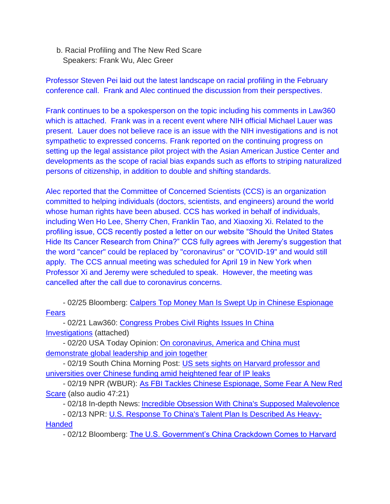b. Racial Profiling and The New Red Scare Speakers: Frank Wu, Alec Greer

Professor Steven Pei laid out the latest landscape on racial profiling in the February conference call. Frank and Alec continued the discussion from their perspectives.

Frank continues to be a spokesperson on the topic including his comments in Law360 which is attached. Frank was in a recent event where NIH official Michael Lauer was present. Lauer does not believe race is an issue with the NIH investigations and is not sympathetic to expressed concerns. Frank reported on the continuing progress on setting up the legal assistance pilot project with the Asian American Justice Center and developments as the scope of racial bias expands such as efforts to striping naturalized persons of citizenship, in addition to double and shifting standards.

Alec reported that the Committee of Concerned Scientists (CCS) is an organization committed to helping individuals (doctors, scientists, and engineers) around the world whose human rights have been abused. CCS has worked in behalf of individuals, including Wen Ho Lee, Sherry Chen, Franklin Tao, and Xiaoxing Xi. Related to the profiling issue, CCS recently posted a letter on our website "Should the United States Hide Its Cancer Research from China?" CCS fully agrees with Jeremy's suggestion that the word "cancer" could be replaced by "coronavirus" or "COVID-19" and would still apply. The CCS annual meeting was scheduled for April 19 in New York when Professor Xi and Jeremy were scheduled to speak. However, the meeting was cancelled after the call due to coronavirus concerns.

- 02/25 Bloomberg: [Calpers Top Money Man Is Swept Up in Chinese Espionage](https://bloom.bg/2TjrgLL)  [Fears](https://bloom.bg/2TjrgLL)

- 02/21 Law360: [Congress Probes Civil Rights Issues In China](http://bit.ly/2wxivFU)  [Investigations](http://bit.ly/2wxivFU) (attached)

- 02/20 USA Today Opinion: On coronavirus, America and China must [demonstrate global leadership and join together](http://bit.ly/38LaVFV)

- 02/19 South China Morning Post: US sets sights on Harvard professor and [universities over Chinese funding amid heightened fear of IP leaks](http://bit.ly/328VXap)

- 02/19 NPR (WBUR): [As FBI Tackles Chinese Espionage, Some Fear A New Red](https://wbur.fm/38JcOTJ)  [Scare](https://wbur.fm/38JcOTJ) (also audio 47:21)

- 02/18 In-depth News: [Incredible Obsession With China's Supposed Malevolence](http://bit.ly/32aAq0W)

- 02/13 NPR: [U.S. Response To China's Talent Plan Is Described As Heavy-](https://n.pr/2V0nuta)

**[Handed](https://n.pr/2V0nuta)** 

- 02/12 Bloomberg: [The U.S. Government's China Crackdown Comes to Harvard](https://bloom.bg/320TsH8)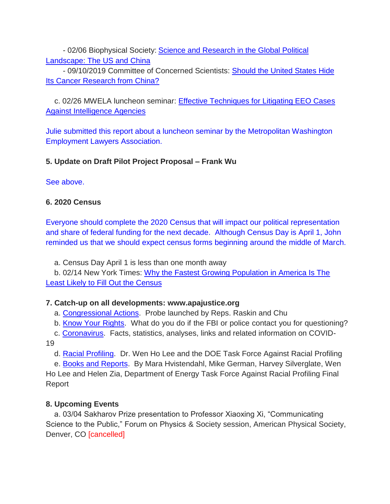- 02/06 Biophysical Society: [Science and Research in the Global Political](http://bit.ly/2v6CATh)  [Landscape: The US and China](http://bit.ly/2v6CATh)

- 09/10/2019 Committee of Concerned Scientists: [Should the United States Hide](http://bit.ly/2lL06jC)  [Its Cancer Research from China?](http://bit.ly/2lL06jC)

 c. 02/26 MWELA luncheon seminar: [Effective Techniques for Litigating EEO Cases](http://bit.ly/2SZh0sX)  [Against Intelligence Agencies](http://bit.ly/2SZh0sX)

Julie submitted this report about a luncheon seminar by the Metropolitan Washington Employment Lawyers Association.

## **5. Update on Draft Pilot Project Proposal – Frank Wu**

## See above.

# **6. 2020 Census**

Everyone should complete the 2020 Census that will impact our political representation and share of federal funding for the next decade. Although Census Day is April 1, John reminded us that we should expect census forms beginning around the middle of March.

a. Census Day April 1 is less than one month away

b. 02/14 New York Times: [Why the Fastest Growing Population in America Is The](https://nyti.ms/2V4gXO3)  [Least Likely to Fill Out the Census](https://nyti.ms/2V4gXO3)

# **7. Catch-up on all developments: www.apajustice.org**

a. [Congressional Actions.](https://www.apajustice.org/congressional-actions.html) Probe launched by Reps. Raskin and Chu

b. [Know Your Rights.](https://www.apajustice.org/know-your-rights.html) What do you do if the FBI or police contact you for questioning?

c. [Coronavirus.](https://www.apajustice.org/coronavirus.html) Facts, statistics, analyses, links and related information on COVID-19

d. [Racial Profiling.](https://www.apajustice.org/racial-profiling.html) Dr. Wen Ho Lee and the DOE Task Force Against Racial Profiling

e. [Books and Reports.](http://bit.ly/32pulOu) By Mara Hvistendahl, Mike German, Harvey Silverglate, Wen Ho Lee and Helen Zia, Department of Energy Task Force Against Racial Profiling Final Report

# **8. Upcoming Events**

a. 03/04 Sakharov Prize presentation to Professor Xiaoxing Xi, "Communicating Science to the Public," Forum on Physics & Society session, American Physical Society, Denver, CO [cancelled]